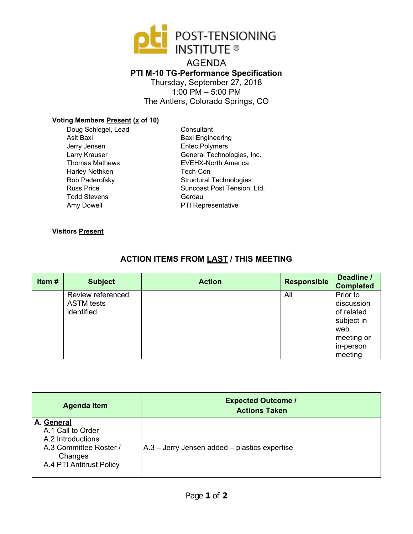

AGENDA **PTI M-10 TG-Performance Specification**  Thursday, September 27, 2018 1:00 PM – 5:00 PM The Antlers, Colorado Springs, CO

## **Voting Members Present (x of 10)**

Doug Schlegel, Lead Asit Baxi Jerry Jensen Larry Krauser Thomas Mathews Harley Nethken Rob Paderofsky Russ Price Todd Stevens Amy Dowell

**Consultant** Baxi Engineering Entec Polymers General Technologies, Inc. EVEHX-North America Tech-Con Structural Technologies Suncoast Post Tension, Ltd. Gerdau PTI Representative

#### **Visitors Present**

# **ACTION ITEMS FROM LAST / THIS MEETING**

| Item# | <b>Subject</b>                                       | <b>Action</b> | <b>Responsible</b> | Deadline /<br><b>Completed</b>                                                                  |
|-------|------------------------------------------------------|---------------|--------------------|-------------------------------------------------------------------------------------------------|
|       | Review referenced<br><b>ASTM</b> tests<br>identified |               | All                | Prior to<br>discussion<br>of related<br>subject in<br>web<br>meeting or<br>in-person<br>meeting |

| <b>Agenda Item</b>                                                                                                    | <b>Expected Outcome /</b><br><b>Actions Taken</b> |
|-----------------------------------------------------------------------------------------------------------------------|---------------------------------------------------|
| A. General<br>A.1 Call to Order<br>A.2 Introductions<br>A.3 Committee Roster /<br>Changes<br>A.4 PTI Antitrust Policy | $A.3$ – Jerry Jensen added – plastics expertise   |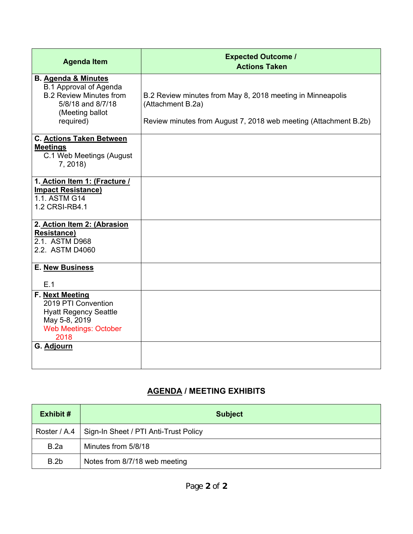| <b>Agenda Item</b>                                                                                                                                     | <b>Expected Outcome /</b><br><b>Actions Taken</b>                                                                                                   |
|--------------------------------------------------------------------------------------------------------------------------------------------------------|-----------------------------------------------------------------------------------------------------------------------------------------------------|
| <b>B. Agenda &amp; Minutes</b><br><b>B.1 Approval of Agenda</b><br><b>B.2 Review Minutes from</b><br>5/8/18 and 8/7/18<br>(Meeting ballot<br>required) | B.2 Review minutes from May 8, 2018 meeting in Minneapolis<br>(Attachment B.2a)<br>Review minutes from August 7, 2018 web meeting (Attachment B.2b) |
| <b>C. Actions Taken Between</b><br><b>Meetings</b><br>C.1 Web Meetings (August<br>7, 2018)                                                             |                                                                                                                                                     |
| 1. Action Item 1: (Fracture /<br><b>Impact Resistance)</b><br>1.1. ASTM G14<br>1.2 CRSI-RB4.1                                                          |                                                                                                                                                     |
| 2. Action Item 2: (Abrasion<br><b>Resistance)</b><br>2.1. ASTM D968<br>2.2. ASTM D4060                                                                 |                                                                                                                                                     |
| E. New Business<br>E.1                                                                                                                                 |                                                                                                                                                     |
| F. Next Meeting<br>2019 PTI Convention<br><b>Hyatt Regency Seattle</b><br>May 5-8, 2019<br><b>Web Meetings: October</b><br>2018                        |                                                                                                                                                     |
| G. Adjourn                                                                                                                                             |                                                                                                                                                     |

# **AGENDA / MEETING EXHIBITS**

| Exhibit # | <b>Subject</b>                                       |
|-----------|------------------------------------------------------|
|           | Roster / A.4   Sign-In Sheet / PTI Anti-Trust Policy |
| B.2a      | Minutes from 5/8/18                                  |
| B.2b      | Notes from 8/7/18 web meeting                        |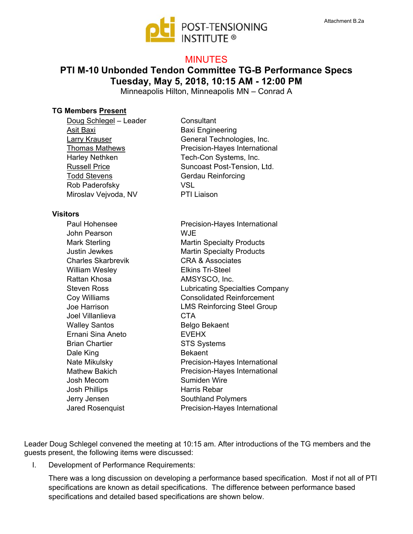

## MINUTES

# **PTI M-10 Unbonded Tendon Committee TG-B Performance Specs Tuesday, May 5, 2018, 10:15 AM - 12:00 PM**

Minneapolis Hilton, Minneapolis MN – Conrad A

#### **TG Members Present**

| Doug Schlegel - Leader |
|------------------------|
| Asit Baxi              |
| Larry Krauser          |
| <b>Thomas Mathews</b>  |
| <b>Harley Nethken</b>  |
| <b>Russell Price</b>   |
| <b>Todd Stevens</b>    |
| Rob Paderofsky         |
| Miroslav Vejvoda, NV   |

#### **Visitors**

Paul Hohensee John Pearson Mark Sterling Justin Jewkes Charles Skarbrevik William Wesley Rattan Khosa Steven Ross Coy Williams Joe Harrison Joel Villanlieva Walley Santos Ernani Sina Aneto Brian Chartier Dale King Nate Mikulsky Mathew Bakich Josh Mecom Josh Phillips Jerry Jensen Jared Rosenquist

**Consultant** Baxi Engineering General Technologies, Inc. Precision-Hayes International Tech-Con Systems, Inc. Suncoast Post-Tension, Ltd. Gerdau Reinforcing VSL PTI Liaison

Precision-Hayes International **WJE** Martin Specialty Products Martin Specialty Products CRA & Associates Elkins Tri-Steel AMSYSCO, Inc. Lubricating Specialties Company Consolidated Reinforcement LMS Reinforcing Steel Group **CTA** Belgo Bekaent EVEHX STS Systems Bekaent Precision-Hayes International Precision-Hayes International Sumiden Wire Harris Rebar Southland Polymers Precision-Hayes International

Leader Doug Schlegel convened the meeting at 10:15 am. After introductions of the TG members and the guests present, the following items were discussed:

I. Development of Performance Requirements:

There was a long discussion on developing a performance based specification. Most if not all of PTI specifications are known as detail specifications. The difference between performance based specifications and detailed based specifications are shown below.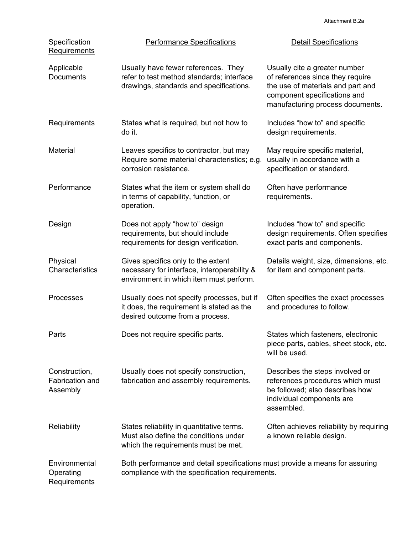| Specification<br><b>Requirements</b>                | <b>Performance Specifications</b>                                                                                               | <b>Detail Specifications</b>                                                                                                                                               |
|-----------------------------------------------------|---------------------------------------------------------------------------------------------------------------------------------|----------------------------------------------------------------------------------------------------------------------------------------------------------------------------|
| Applicable<br><b>Documents</b>                      | Usually have fewer references. They<br>refer to test method standards; interface<br>drawings, standards and specifications.     | Usually cite a greater number<br>of references since they require<br>the use of materials and part and<br>component specifications and<br>manufacturing process documents. |
| Requirements                                        | States what is required, but not how to<br>do it.                                                                               | Includes "how to" and specific<br>design requirements.                                                                                                                     |
| Material                                            | Leaves specifics to contractor, but may<br>Require some material characteristics; e.g.<br>corrosion resistance.                 | May require specific material,<br>usually in accordance with a<br>specification or standard.                                                                               |
| Performance                                         | States what the item or system shall do<br>in terms of capability, function, or<br>operation.                                   | Often have performance<br>requirements.                                                                                                                                    |
| Design                                              | Does not apply "how to" design<br>requirements, but should include<br>requirements for design verification.                     | Includes "how to" and specific<br>design requirements. Often specifies<br>exact parts and components.                                                                      |
| Physical<br>Characteristics                         | Gives specifics only to the extent<br>necessary for interface, interoperability &<br>environment in which item must perform.    | Details weight, size, dimensions, etc.<br>for item and component parts.                                                                                                    |
| Processes                                           | Usually does not specify processes, but if<br>it does, the requirement is stated as the<br>desired outcome from a process.      | Often specifies the exact processes<br>and procedures to follow.                                                                                                           |
| Parts                                               | Does not require specific parts.                                                                                                | States which fasteners, electronic<br>piece parts, cables, sheet stock, etc.<br>will be used.                                                                              |
| Construction,<br><b>Fabrication and</b><br>Assembly | Usually does not specify construction,<br>fabrication and assembly requirements.                                                | Describes the steps involved or<br>references procedures which must<br>be followed; also describes how<br>individual components are<br>assembled.                          |
| Reliability                                         | States reliability in quantitative terms.<br>Must also define the conditions under<br>which the requirements must be met.       | Often achieves reliability by requiring<br>a known reliable design.                                                                                                        |
| Environmental<br>Operating<br>Requirements          | Both performance and detail specifications must provide a means for assuring<br>compliance with the specification requirements. |                                                                                                                                                                            |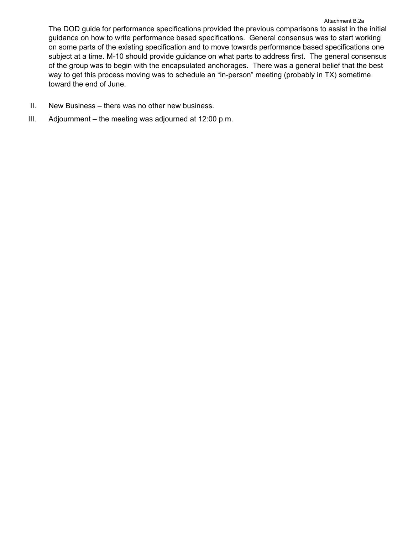The DOD guide for performance specifications provided the previous comparisons to assist in the initial guidance on how to write performance based specifications. General consensus was to start working on some parts of the existing specification and to move towards performance based specifications one subject at a time. M-10 should provide guidance on what parts to address first. The general consensus of the group was to begin with the encapsulated anchorages. There was a general belief that the best way to get this process moving was to schedule an "in-person" meeting (probably in TX) sometime toward the end of June.

- II. New Business there was no other new business.
- III. Adjournment the meeting was adjourned at 12:00 p.m.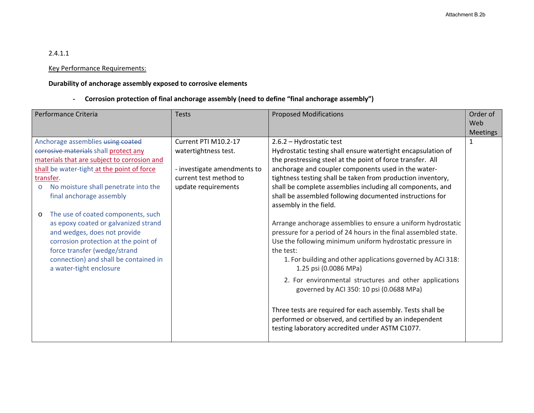## 2.4.1.1

## Key Performance Requirements:

### **Durability of anchorage assembly exposed to corrosive elements**

‐ **Corrosion protection of final anchorage assembly (need to define "final anchorage assembly")** 

| Performance Criteria                                                                                                                                                                                                                                                                                                                                                                                                                                                                                                                     | <b>Tests</b>                                                                                                                 | <b>Proposed Modifications</b>                                                                                                                                                                                                                                                                                                                                                                                                                                                                                                                                                                                                                                                                                                                                                                                                                                                                                                                                                                                          | Order of<br>Web<br><b>Meetings</b> |
|------------------------------------------------------------------------------------------------------------------------------------------------------------------------------------------------------------------------------------------------------------------------------------------------------------------------------------------------------------------------------------------------------------------------------------------------------------------------------------------------------------------------------------------|------------------------------------------------------------------------------------------------------------------------------|------------------------------------------------------------------------------------------------------------------------------------------------------------------------------------------------------------------------------------------------------------------------------------------------------------------------------------------------------------------------------------------------------------------------------------------------------------------------------------------------------------------------------------------------------------------------------------------------------------------------------------------------------------------------------------------------------------------------------------------------------------------------------------------------------------------------------------------------------------------------------------------------------------------------------------------------------------------------------------------------------------------------|------------------------------------|
| Anchorage assemblies using coated<br>corrosive materials shall protect any<br>materials that are subject to corrosion and<br>shall be water-tight at the point of force<br>transfer.<br>No moisture shall penetrate into the<br>$\circ$<br>final anchorage assembly<br>The use of coated components, such<br>$\circ$<br>as epoxy coated or galvanized strand<br>and wedges, does not provide<br>corrosion protection at the point of<br>force transfer (wedge/strand<br>connection) and shall be contained in<br>a water-tight enclosure | Current PTI M10.2-17<br>watertightness test.<br>- investigate amendments to<br>current test method to<br>update requirements | 2.6.2 - Hydrostatic test<br>Hydrostatic testing shall ensure watertight encapsulation of<br>the prestressing steel at the point of force transfer. All<br>anchorage and coupler components used in the water-<br>tightness testing shall be taken from production inventory,<br>shall be complete assemblies including all components, and<br>shall be assembled following documented instructions for<br>assembly in the field.<br>Arrange anchorage assemblies to ensure a uniform hydrostatic<br>pressure for a period of 24 hours in the final assembled state.<br>Use the following minimum uniform hydrostatic pressure in<br>the test:<br>1. For building and other applications governed by ACI 318:<br>1.25 psi (0.0086 MPa)<br>2. For environmental structures and other applications<br>governed by ACI 350: 10 psi (0.0688 MPa)<br>Three tests are required for each assembly. Tests shall be<br>performed or observed, and certified by an independent<br>testing laboratory accredited under ASTM C1077. | $\mathbf 1$                        |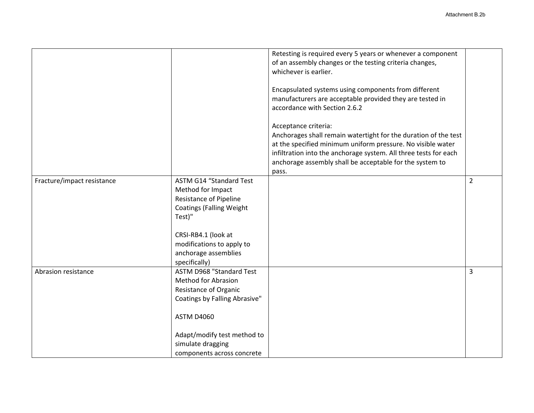|                            |                                                                                                                                                                                                                                | Retesting is required every 5 years or whenever a component<br>of an assembly changes or the testing criteria changes,<br>whichever is earlier.<br>Encapsulated systems using components from different<br>manufacturers are acceptable provided they are tested in<br>accordance with Section 2.6.2 |                |
|----------------------------|--------------------------------------------------------------------------------------------------------------------------------------------------------------------------------------------------------------------------------|------------------------------------------------------------------------------------------------------------------------------------------------------------------------------------------------------------------------------------------------------------------------------------------------------|----------------|
|                            |                                                                                                                                                                                                                                | Acceptance criteria:<br>Anchorages shall remain watertight for the duration of the test<br>at the specified minimum uniform pressure. No visible water<br>infiltration into the anchorage system. All three tests for each<br>anchorage assembly shall be acceptable for the system to<br>pass.      |                |
| Fracture/impact resistance | <b>ASTM G14 "Standard Test</b><br>Method for Impact<br><b>Resistance of Pipeline</b><br><b>Coatings (Falling Weight</b><br>Test)"<br>CRSI-RB4.1 (look at<br>modifications to apply to<br>anchorage assemblies<br>specifically) |                                                                                                                                                                                                                                                                                                      | $\overline{2}$ |
| Abrasion resistance        | <b>ASTM D968 "Standard Test</b><br><b>Method for Abrasion</b><br>Resistance of Organic<br>Coatings by Falling Abrasive"<br><b>ASTM D4060</b><br>Adapt/modify test method to<br>simulate dragging<br>components across concrete |                                                                                                                                                                                                                                                                                                      | 3              |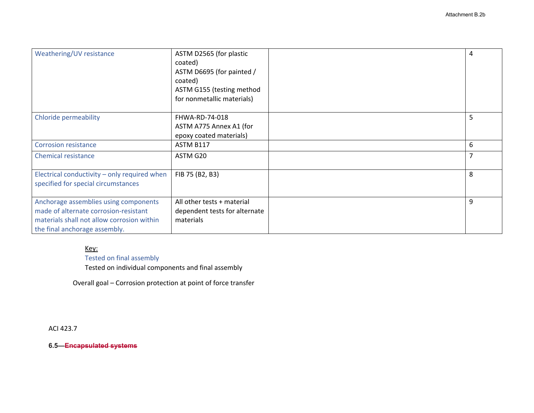| Weathering/UV resistance                     | ASTM D2565 (for plastic       | 4 |
|----------------------------------------------|-------------------------------|---|
|                                              | coated)                       |   |
|                                              | ASTM D6695 (for painted /     |   |
|                                              | coated)                       |   |
|                                              | ASTM G155 (testing method     |   |
|                                              | for nonmetallic materials)    |   |
|                                              |                               |   |
| <b>Chloride permeability</b>                 | FHWA-RD-74-018                | 5 |
|                                              | ASTM A775 Annex A1 (for       |   |
|                                              | epoxy coated materials)       |   |
| <b>Corrosion resistance</b>                  | ASTM B117                     | 6 |
| <b>Chemical resistance</b>                   | ASTM G20                      | 7 |
|                                              |                               |   |
| Electrical conductivity - only required when | FIB 75 (B2, B3)               | 8 |
| specified for special circumstances          |                               |   |
|                                              |                               |   |
| Anchorage assemblies using components        | All other tests + material    | 9 |
| made of alternate corrosion-resistant        | dependent tests for alternate |   |
| materials shall not allow corrosion within   | materials                     |   |
| the final anchorage assembly.                |                               |   |

## Key:

# Tested on final assembly

Tested on individual components and final assembly

Overall goal – Corrosion protection at point of force transfer

ACI 423.7

**6.5—Encapsulated systems**